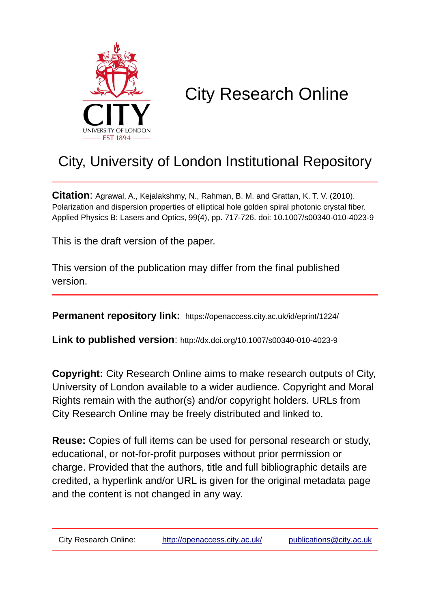

# City Research Online

## City, University of London Institutional Repository

**Citation**: Agrawal, A., Kejalakshmy, N., Rahman, B. M. and Grattan, K. T. V. (2010). Polarization and dispersion properties of elliptical hole golden spiral photonic crystal fiber. Applied Physics B: Lasers and Optics, 99(4), pp. 717-726. doi: 10.1007/s00340-010-4023-9

This is the draft version of the paper.

This version of the publication may differ from the final published version.

**Permanent repository link:** https://openaccess.city.ac.uk/id/eprint/1224/

**Link to published version**: http://dx.doi.org/10.1007/s00340-010-4023-9

**Copyright:** City Research Online aims to make research outputs of City, University of London available to a wider audience. Copyright and Moral Rights remain with the author(s) and/or copyright holders. URLs from City Research Online may be freely distributed and linked to.

**Reuse:** Copies of full items can be used for personal research or study, educational, or not-for-profit purposes without prior permission or charge. Provided that the authors, title and full bibliographic details are credited, a hyperlink and/or URL is given for the original metadata page and the content is not changed in any way.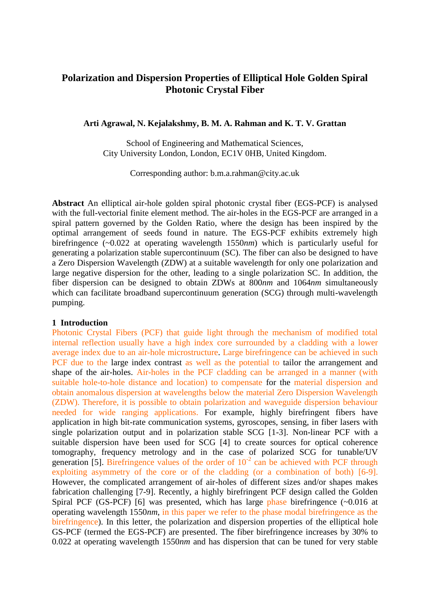### **Polarization and Dispersion Properties of Elliptical Hole Golden Spiral Photonic Crystal Fiber**

#### **Arti Agrawal, N. Kejalakshmy, B. M. A. Rahman and K. T. V. Grattan**

School of Engineering and Mathematical Sciences, City University London, London, EC1V 0HB, United Kingdom.

Corresponding author: b.m.a.rahman@city.ac.uk

**Abstract** An elliptical air-hole golden spiral photonic crystal fiber (EGS-PCF) is analysed with the full-vectorial finite element method. The air-holes in the EGS-PCF are arranged in a spiral pattern governed by the Golden Ratio, where the design has been inspired by the optimal arrangement of seeds found in nature. The EGS-PCF exhibits extremely high birefringence (~0.022 at operating wavelength 1550*nm*) which is particularly useful for generating a polarization stable supercontinuum (SC). The fiber can also be designed to have a Zero Dispersion Wavelength (ZDW) at a suitable wavelength for only one polarization and large negative dispersion for the other, leading to a single polarization SC. In addition, the fiber dispersion can be designed to obtain ZDWs at 800*nm* and 1064*nm* simultaneously which can facilitate broadband supercontinuum generation (SCG) through multi-wavelength pumping.

#### **1 Introduction**

Photonic Crystal Fibers (PCF) that guide light through the mechanism of modified total internal reflection usually have a high index core surrounded by a cladding with a lower average index due to an air-hole microstructure. Large birefringence can be achieved in such PCF due to the large index contrast as well as the potential to tailor the arrangement and shape of the air-holes. Air-holes in the PCF cladding can be arranged in a manner (with suitable hole-to-hole distance and location) to compensate for the material dispersion and obtain anomalous dispersion at wavelengths below the material Zero Dispersion Wavelength (ZDW). Therefore, it is possible to obtain polarization and waveguide dispersion behaviour needed for wide ranging applications. For example, highly birefringent fibers have application in high bit-rate communication systems, gyroscopes, sensing, in fiber lasers with single polarization output and in polarization stable SCG [1-3]. Non-linear PCF with a suitable dispersion have been used for SCG [4] to create sources for optical coherence tomography, frequency metrology and in the case of polarized SCG for tunable/UV generation [5]. Birefringence values of the order of  $10^{-2}$  can be achieved with PCF through exploiting asymmetry of the core or of the cladding (or a combination of both) [6-9]. However, the complicated arrangement of air-holes of different sizes and/or shapes makes fabrication challenging [7-9]. Recently, a highly birefringent PCF design called the Golden Spiral PCF (GS-PCF) [6] was presented, which has large phase birefringence (~0.016 at operating wavelength 1550*nm*, in this paper we refer to the phase modal birefringence as the birefringence). In this letter, the polarization and dispersion properties of the elliptical hole GS-PCF (termed the EGS-PCF) are presented. The fiber birefringence increases by 30% to 0.022 at operating wavelength 1550*nm* and has dispersion that can be tuned for very stable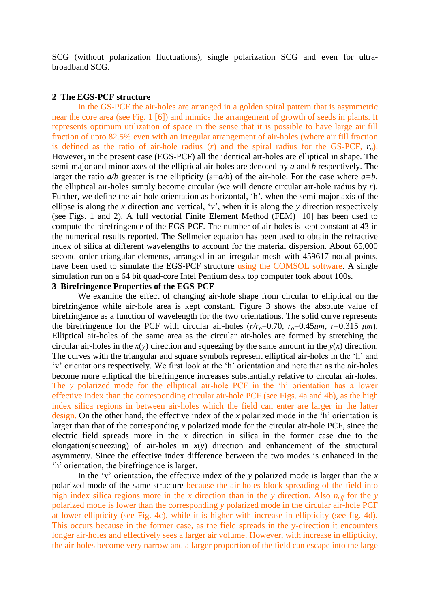SCG (without polarization fluctuations), single polarization SCG and even for ultrabroadband SCG.

#### **2 The EGS-PCF structure**

In the GS-PCF the air-holes are arranged in a golden spiral pattern that is asymmetric near the core area (see Fig. 1 [6]) and mimics the arrangement of growth of seeds in plants. It represents optimum utilization of space in the sense that it is possible to have large air fill fraction of upto 82.5% even with an irregular arrangement of air-holes (where air fill fraction is defined as the ratio of air-hole radius (*r*) and the spiral radius for the GS-PCF, *ro*). However, in the present case (EGS-PCF) all the identical air-holes are elliptical in shape. The semi-major and minor axes of the elliptical air-holes are denoted by *a* and *b* respectively. The larger the ratio  $a/b$  greater is the ellipticity ( $\varepsilon = a/b$ ) of the air-hole. For the case where  $a=b$ , the elliptical air-holes simply become circular (we will denote circular air-hole radius by *r*). Further, we define the air-hole orientation as horizontal, 'h', when the semi-major axis of the ellipse is along the *x* direction and vertical, 'v', when it is along the *y* direction respectively (see Figs. 1 and 2). A full vectorial Finite Element Method (FEM) [10] has been used to compute the birefringence of the EGS-PCF. The number of air-holes is kept constant at 43 in the numerical results reported. The Sellmeier equation has been used to obtain the refractive index of silica at different wavelengths to account for the material dispersion. About 65,000 second order triangular elements, arranged in an irregular mesh with 459617 nodal points, have been used to simulate the EGS-PCF structure using the COMSOL software. A single simulation run on a 64 bit quad-core Intel Pentium desk top computer took about 100s.

#### **3 Birefringence Properties of the EGS-PCF**

We examine the effect of changing air-hole shape from circular to elliptical on the birefringence while air-hole area is kept constant. Figure 3 shows the absolute value of birefringence as a function of wavelength for the two orientations. The solid curve represents the birefringence for the PCF with circular air-holes  $(r/r_0=0.70, r_0=0.45 \mu m, r=0.315 \mu m)$ . Elliptical air-holes of the same area as the circular air-holes are formed by stretching the circular air-holes in the  $x(y)$  direction and squeezing by the same amount in the  $y(x)$  direction. The curves with the triangular and square symbols represent elliptical air-holes in the 'h' and 'v' orientations respectively. We first look at the 'h' orientation and note that as the air-holes become more elliptical the birefringence increases substantially relative to circular air-holes. The *y* polarized mode for the elliptical air-hole PCF in the 'h' orientation has a lower effective index than the corresponding circular air-hole PCF (see Figs. 4a and 4b), as the high index silica regions in between air-holes which the field can enter are larger in the latter design. On the other hand, the effective index of the *x* polarized mode in the 'h' orientation is larger than that of the corresponding *x* polarized mode for the circular air-hole PCF, since the electric field spreads more in the *x* direction in silica in the former case due to the elongation(squeezing) of air-holes in *x*(*y*) direction and enhancement of the structural asymmetry. Since the effective index difference between the two modes is enhanced in the 'h' orientation, the birefringence is larger.

In the 'v' orientation, the effective index of the *y* polarized mode is larger than the  $x$ polarized mode of the same structure because the air-holes block spreading of the field into high index silica regions more in the *x* direction than in the *y* direction. Also  $n_{\text{eff}}$  for the *y* polarized mode is lower than the corresponding *y* polarized mode in the circular air-hole PCF at lower ellipticity (see Fig. 4c), while it is higher with increase in ellipticity (see fig. 4d). This occurs because in the former case, as the field spreads in the y-direction it encounters longer air-holes and effectively sees a larger air volume. However, with increase in ellipticity, the air-holes become very narrow and a larger proportion of the field can escape into the large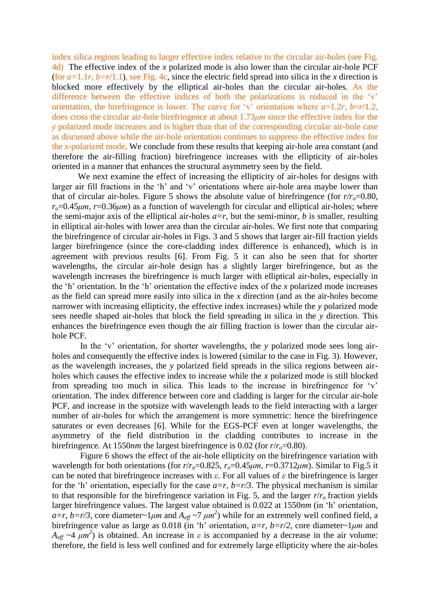index silica regions leading to larger effective index relative to the circular air-holes (see Fig. 4d) The effective index of the *x* polarized mode is also lower than the circular air-hole PCF (for  $a=1.1r$ ,  $b=r/1.1$ ), see Fig. 4c, since the electric field spread into silica in the *x* direction is blocked more effectively by the elliptical air-holes than the circular air-holes. As the difference between the effective indices of both the polarizations is reduced in the 'v' orientation, the birefringence is lower. The curve for 'v' orientation where  $a=1.2r$ ,  $b=r/1.2$ , does cross the circular air-hole birefringence at about 1.73*μm* since the effective index for the *y* polarized mode increases and is higher than that of the corresponding circular air-hole case as discussed above while the air-hole orientation continues to suppress the effective index for the *x*-polarized mode. We conclude from these results that keeping air-hole area constant (and therefore the air-filling fraction) birefringence increases with the ellipticity of air-holes oriented in a manner that enhances the structural asymmetry seen by the field.

We next examine the effect of increasing the ellipticity of air-holes for designs with larger air fill fractions in the 'h' and 'v' orientations where air-hole area maybe lower than that of circular air-holes. Figure 5 shows the absolute value of birefringence (for  $r/r<sub>o</sub>=0.80$ ,  $r<sub>o</sub>=0.45 \mu m$ ,  $r=0.36 \mu m$ ) as a function of wavelength for circular and elliptical air-holes; where the semi-major axis of the elliptical air-holes  $a=r$ , but the semi-minor, *b* is smaller, resulting in elliptical air-holes with lower area than the circular air-holes. We first note that comparing the birefringence of circular air-holes in Figs. 3 and 5 shows that larger air-fill fraction yields larger birefringence (since the core-cladding index difference is enhanced), which is in agreement with previous results [6]. From Fig. 5 it can also be seen that for shorter wavelengths, the circular air-hole design has a slightly larger birefringence, but as the wavelength increases the birefringence is much larger with elliptical air-holes, especially in the 'h' orientation. In the 'h' orientation the effective index of the *x* polarized mode increases as the field can spread more easily into silica in the *x* direction (and as the air-holes become narrower with increasing ellipticity, the effective index increases) while the *y* polarized mode sees needle shaped air-holes that block the field spreading in silica in the *y* direction. This enhances the birefringence even though the air filling fraction is lower than the circular airhole PCF.

In the 'v' orientation, for shorter wavelengths, the *y* polarized mode sees long airholes and consequently the effective index is lowered (similar to the case in Fig. 3). However, as the wavelength increases, the *y* polarized field spreads in the silica regions between airholes which causes the effective index to increase while the *x* polarized mode is still blocked from spreading too much in silica. This leads to the increase in birefringence for 'v' orientation. The index difference between core and cladding is larger for the circular air-hole PCF, and increase in the spotsize with wavelength leads to the field interacting with a larger number of air-holes for which the arrangement is more symmetric: hence the birefringence saturates or even decreases [6]. While for the EGS-PCF even at longer wavelengths, the asymmetry of the field distribution in the cladding contributes to increase in the birefringence. At 1550*nm* the largest birefringence is 0.02 (for *r*/*ro*=0.80).

Figure 6 shows the effect of the air-hole ellipticity on the birefringence variation with wavelength for both orientations (for  $r/r<sub>o</sub>=0.825$ ,  $r<sub>o</sub>=0.45 \mu m$ ,  $r=0.3712 \mu m$ ). Similar to Fig.5 it can be noted that birefringence increases with *ε*. For all values of *ε* the birefringence is larger for the 'h' orientation, especially for the case  $a=r$ ,  $b=r/3$ . The physical mechanism is similar to that responsible for the birefringence variation in Fig. 5, and the larger *r*/*r<sup>o</sup>* fraction yields larger birefringence values. The largest value obtained is 0.022 at 1550*nm* (in 'h' orientation,  $a=r$ ,  $b=r/3$ , core diameter~1*μm* and  $A_{eff}$  ~7  $\mu$ m<sup>2</sup>) while for an extremely well confined field, a birefringence value as large as 0.018 (in 'h' orientation, *a=r, b=r/2*, core diameter~1*μm* and *A*<sub>*eff*</sub>  $\sim$  4 *μm*<sup>2</sup>) is obtained. An increase in *ε* is accompanied by a decrease in the air volume: therefore, the field is less well confined and for extremely large ellipticity where the air-holes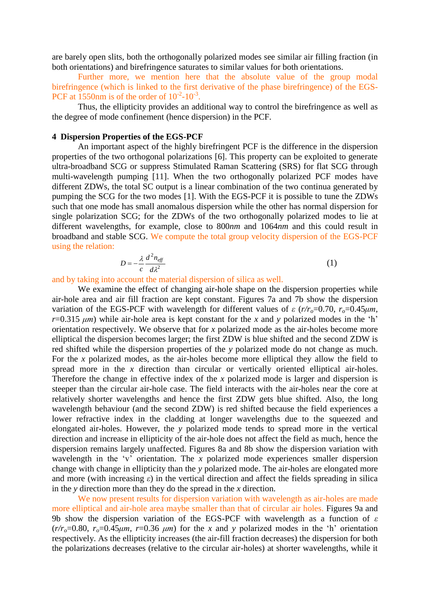are barely open slits, both the orthogonally polarized modes see similar air filling fraction (in both orientations) and birefringence saturates to similar values for both orientations.

Further more, we mention here that the absolute value of the group modal birefringence (which is linked to the first derivative of the phase birefringence) of the EGS-PCF at 1550nm is of the order of  $10^{-2}$ - $10^{-3}$ .

Thus, the ellipticity provides an additional way to control the birefringence as well as the degree of mode confinement (hence dispersion) in the PCF.

#### **4 Dispersion Properties of the EGS-PCF**

An important aspect of the highly birefringent PCF is the difference in the dispersion properties of the two orthogonal polarizations [6]. This property can be exploited to generate ultra-broadband SCG or suppress Stimulated Raman Scattering (SRS) for flat SCG through multi-wavelength pumping [11]. When the two orthogonally polarized PCF modes have different ZDWs, the total SC output is a linear combination of the two continua generated by pumping the SCG for the two modes [1]. With the EGS-PCF it is possible to tune the ZDWs such that one mode has small anomalous dispersion while the other has normal dispersion for single polarization SCG; for the ZDWs of the two orthogonally polarized modes to lie at different wavelengths, for example, close to 800*nm* and 1064*nm* and this could result in broadband and stable SCG. We compute the total group velocity dispersion of the EGS-PCF using the relation:

$$
D = -\frac{\lambda}{c} \frac{d^2 n_{\text{eff}}}{d\lambda^2} \tag{1}
$$

and by taking into account the material dispersion of silica as well.

We examine the effect of changing air-hole shape on the dispersion properties while air-hole area and air fill fraction are kept constant. Figures 7a and 7b show the dispersion variation of the EGS-PCF with wavelength for different values of  $\varepsilon$  ( $r/r<sub>o</sub>=0.70$ ,  $r<sub>o</sub>=0.45 \mu m$ ,  $r=0.315 \mu m$ ) while air-hole area is kept constant for the *x* and *y* polarized modes in the 'h' orientation respectively. We observe that for *x* polarized mode as the air-holes become more elliptical the dispersion becomes larger; the first ZDW is blue shifted and the second ZDW is red shifted while the dispersion properties of the *y* polarized mode do not change as much. For the *x* polarized modes, as the air-holes become more elliptical they allow the field to spread more in the *x* direction than circular or vertically oriented elliptical air-holes. Therefore the change in effective index of the *x* polarized mode is larger and dispersion is steeper than the circular air-hole case. The field interacts with the air-holes near the core at relatively shorter wavelengths and hence the first ZDW gets blue shifted. Also, the long wavelength behaviour (and the second ZDW) is red shifted because the field experiences a lower refractive index in the cladding at longer wavelengths due to the squeezed and elongated air-holes. However, the *y* polarized mode tends to spread more in the vertical direction and increase in ellipticity of the air-hole does not affect the field as much, hence the dispersion remains largely unaffected. Figures 8a and 8b show the dispersion variation with wavelength in the 'v' orientation. The *x* polarized mode experiences smaller dispersion change with change in ellipticity than the *y* polarized mode. The air-holes are elongated more and more (with increasing  $\varepsilon$ ) in the vertical direction and affect the fields spreading in silica in the *y* direction more than they do the spread in the *x* direction.

We now present results for dispersion variation with wavelength as air-holes are made more elliptical and air-hole area maybe smaller than that of circular air holes. Figures 9a and 9b show the dispersion variation of the EGS-PCF with wavelength as a function of *ε*  $(r/r_0=0.80, r_0=0.45 \mu m, r=0.36 \mu m)$  for the *x* and *y* polarized modes in the 'h' orientation respectively. As the ellipticity increases (the air-fill fraction decreases) the dispersion for both the polarizations decreases (relative to the circular air-holes) at shorter wavelengths, while it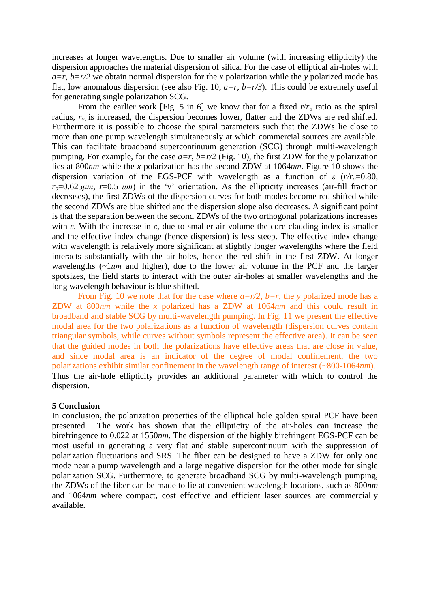increases at longer wavelengths. Due to smaller air volume (with increasing ellipticity) the dispersion approaches the material dispersion of silica. For the case of elliptical air-holes with  $a=r$ ,  $b=r/2$  we obtain normal dispersion for the *x* polarization while the *y* polarized mode has flat, low anomalous dispersion (see also Fig. 10,  $a=r$ ,  $b=r/3$ ). This could be extremely useful for generating single polarization SCG.

From the earlier work [Fig. 5 in 6] we know that for a fixed  $r/r_0$  ratio as the spiral radius, *ro,* is increased, the dispersion becomes lower, flatter and the ZDWs are red shifted. Furthermore it is possible to choose the spiral parameters such that the ZDWs lie close to more than one pump wavelength simultaneously at which commercial sources are available. This can facilitate broadband supercontinuum generation (SCG) through multi-wavelength pumping. For example, for the case  $a=r$ ,  $b=r/2$  (Fig. 10), the first ZDW for the *y* polarization lies at 800*nm* while the *x* polarization has the second ZDW at 1064*nm*. Figure 10 shows the dispersion variation of the EGS-PCF with wavelength as a function of *ε* (*r/ro*=0.80,  $r_o=0.625\mu m$ ,  $r=0.5 \mu m$ ) in the 'v' orientation. As the ellipticity increases (air-fill fraction decreases), the first ZDWs of the dispersion curves for both modes become red shifted while the second ZDWs are blue shifted and the dispersion slope also decreases. A significant point is that the separation between the second ZDWs of the two orthogonal polarizations increases with *ε*. With the increase in *ε*, due to smaller air-volume the core-cladding index is smaller and the effective index change (hence dispersion) is less steep. The effective index change with wavelength is relatively more significant at slightly longer wavelengths where the field interacts substantially with the air-holes, hence the red shift in the first ZDW. At longer wavelengths  $(\sim 1 \mu m$  and higher), due to the lower air volume in the PCF and the larger spotsizes, the field starts to interact with the outer air-holes at smaller wavelengths and the long wavelength behaviour is blue shifted.

From Fig. 10 we note that for the case where  $a=r/2$ ,  $b=r$ , the *y* polarized mode has a ZDW at 800*nm* while the *x* polarized has a ZDW at 1064*nm* and this could result in broadband and stable SCG by multi-wavelength pumping. In Fig. 11 we present the effective modal area for the two polarizations as a function of wavelength (dispersion curves contain triangular symbols, while curves without symbols represent the effective area). It can be seen that the guided modes in both the polarizations have effective areas that are close in value, and since modal area is an indicator of the degree of modal confinement, the two polarizations exhibit similar confinement in the wavelength range of interest (~800-1064*nm*). Thus the air-hole ellipticity provides an additional parameter with which to control the dispersion.

#### **5 Conclusion**

In conclusion, the polarization properties of the elliptical hole golden spiral PCF have been presented. The work has shown that the ellipticity of the air-holes can increase the birefringence to 0.022 at 1550*nm*. The dispersion of the highly birefringent EGS-PCF can be most useful in generating a very flat and stable supercontinuum with the suppression of polarization fluctuations and SRS. The fiber can be designed to have a ZDW for only one mode near a pump wavelength and a large negative dispersion for the other mode for single polarization SCG. Furthermore, to generate broadband SCG by multi-wavelength pumping, the ZDWs of the fiber can be made to lie at convenient wavelength locations, such as 800*nm* and 1064*nm* where compact, cost effective and efficient laser sources are commercially available.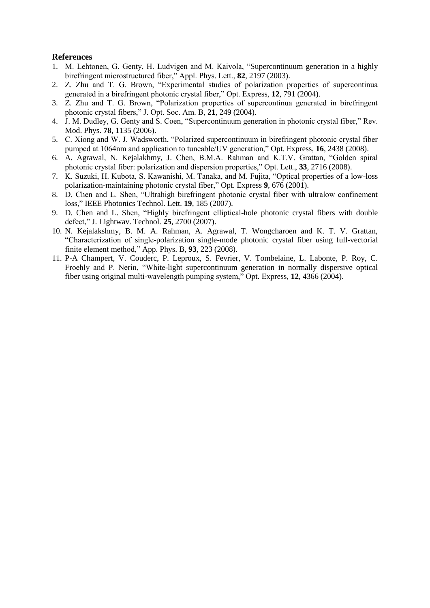#### **References**

- 1. M. Lehtonen, G. Genty, H. Ludvigen and M. Kaivola, "Supercontinuum generation in a highly birefringent microstructured fiber," Appl. Phys. Lett., **82**, 2197 (2003).
- 2. Z. Zhu and T. G. Brown, "Experimental studies of polarization properties of supercontinua generated in a birefringent photonic crystal fiber," Opt. Express, **12**, 791 (2004).
- 3. Z. Zhu and T. G. Brown, "Polarization properties of supercontinua generated in birefringent photonic crystal fibers," J. Opt. Soc. Am. B, **21**, 249 (2004).
- 4. J. M. Dudley, G. Genty and S. Coen, "Supercontinuum generation in photonic crystal fiber," Rev. Mod. Phys. **78**, 1135 (2006).
- 5. C. Xiong and W. J. Wadsworth, "Polarized supercontinuum in birefringent photonic crystal fiber pumped at 1064nm and application to tuneable/UV generation," Opt. Express, **16**, 2438 (2008).
- 6. A. Agrawal, N. Kejalakhmy, J. Chen, B.M.A. Rahman and K.T.V. Grattan, "Golden spiral photonic crystal fiber: polarization and dispersion properties," Opt. Lett., **33**, 2716 (2008).
- 7. K. Suzuki, H. Kubota, S. Kawanishi, M. Tanaka, and M. Fujita, "Optical properties of a low-loss polarization-maintaining photonic crystal fiber," Opt. Express **9**, 676 (2001).
- 8. D. Chen and L. Shen, "Ultrahigh birefringent photonic crystal fiber with ultralow confinement loss," IEEE Photonics Technol. Lett*.* **19**, 185 (2007).
- 9. D. Chen and L. Shen, "Highly birefringent elliptical-hole photonic crystal fibers with double defect," J. Lightwav. Technol*.* **25**, 2700 (2007).
- 10. N. Kejalakshmy, B. M. A. Rahman, A. Agrawal, T. Wongcharoen and K. T. V. Grattan, "Characterization of single-polarization single-mode photonic crystal fiber using full-vectorial finite element method," App. Phys. B, **93**, 223 (2008).
- 11. P-A Champert, V. Couderc, P. Leproux, S. Fevrier, V. Tombelaine, L. Labonte, P. Roy, C. Froehly and P. Nerin, "White-light supercontinuum generation in normally dispersive optical fiber using original multi-wavelength pumping system," Opt. Express, **12**, 4366 (2004).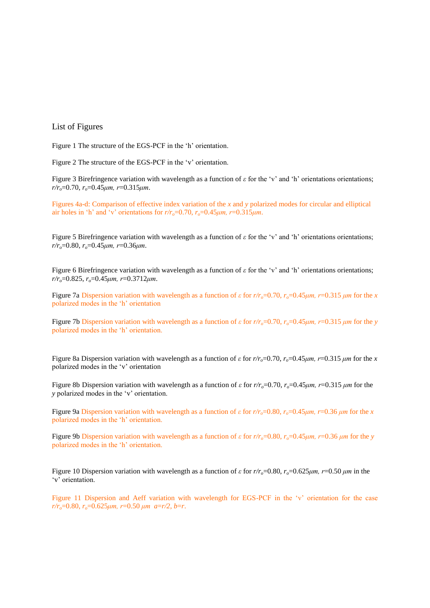#### List of Figures

Figure 1 The structure of the EGS-PCF in the 'h' orientation.

Figure 2 The structure of the EGS-PCF in the 'v' orientation.

Figure 3 Birefringence variation with wavelength as a function of *ε* for the 'v' and 'h' orientations orientations; *r/ro*=0.70, *ro*=0.45*μm, r*=0.315*μm*.

Figures 4a-d: Comparison of effective index variation of the *x* and *y* polarized modes for circular and elliptical air holes in 'h' and 'v' orientations for  $r/r<sub>o</sub>=0.70$ ,  $r<sub>o</sub>=0.45 \mu m$ ,  $r=0.315 \mu m$ .

Figure 5 Birefringence variation with wavelength as a function of *ε* for the 'v' and 'h' orientations orientations; *r/ro*=0.80, *ro*=0.45*μm, r*=0.36*μm*.

Figure 6 Birefringence variation with wavelength as a function of *ε* for the 'v' and 'h' orientations orientations; *r/ro*=0.825, *ro*=0.45*μm, r*=0.3712*μm*.

Figure 7a Dispersion variation with wavelength as a function of *ε* for  $r/r_0=0.70$ ,  $r_0=0.45 \mu m$ ,  $r=0.315 \mu m$  for the *x* polarized modes in the 'h' orientation

Figure 7b Dispersion variation with wavelength as a function of *ε* for  $r/r_0=0.70$ ,  $r_0=0.45 \mu m$ ,  $r=0.315 \mu m$  for the *y* polarized modes in the 'h' orientation.

Figure 8a Dispersion variation with wavelength as a function of *ε* for  $r/r_0 = 0.70$ ,  $r_0 = 0.45 \mu m$ ,  $r = 0.315 \mu m$  for the *x* polarized modes in the 'v' orientation

Figure 8b Dispersion variation with wavelength as a function of *ε* for  $r/r_0$ =0.70,  $r_0$ =0.45*μm*, *r*=0.315 *μm* for the *y* polarized modes in the 'v' orientation.

Figure 9a Dispersion variation with wavelength as a function of *ε* for  $r/r_0 = 0.80$ ,  $r_0 = 0.45 \mu m$ ,  $r = 0.36 \mu m$  for the *x* polarized modes in the 'h' orientation.

Figure 9b Dispersion variation with wavelength as a function of *ε* for  $r/r_0$ =0.80,  $r_0$ =0.45*μm*,  $r$ =0.36 *μm* for the *y* polarized modes in the 'h' orientation.

Figure 10 Dispersion variation with wavelength as a function of *ε* for  $r/r<sub>o</sub>=0.80$ ,  $r<sub>o</sub>=0.625$ *μm*,  $r=0.50$  *μm* in the 'v' orientation.

Figure 11 Dispersion and Aeff variation with wavelength for EGS-PCF in the 'v' orientation for the case *r/ro*=0.80, *ro*=0.625*μm, r*=0.50 *μm a*=*r/2*, *b*=*r*.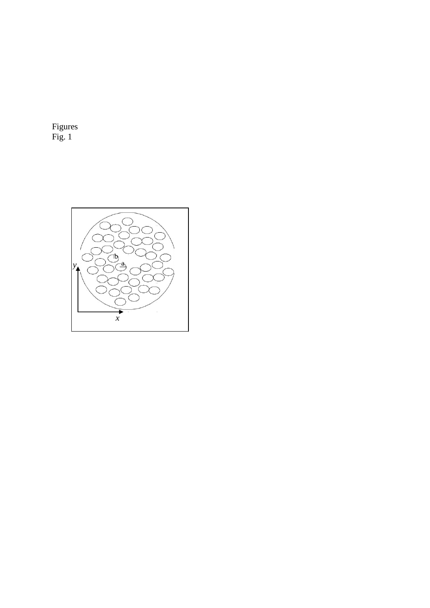Figures Fig. 1

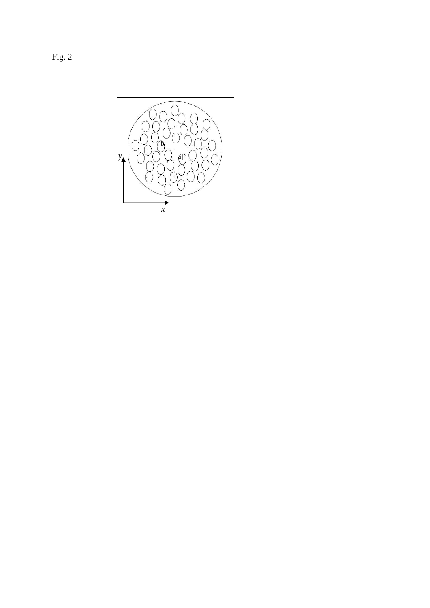Fig. 2

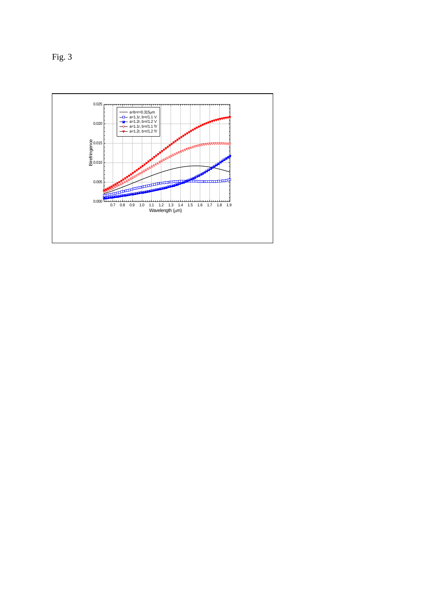Fig. 3

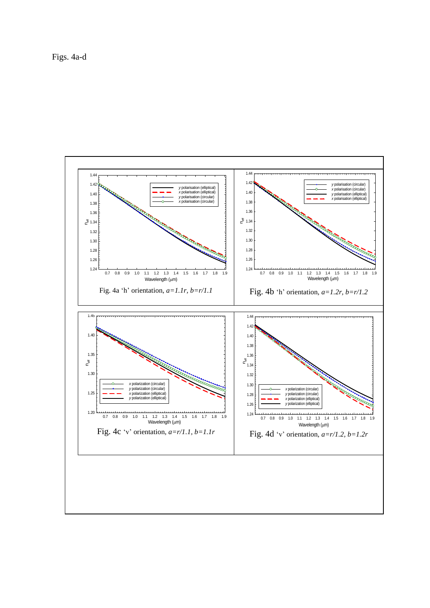Figs. 4a-d

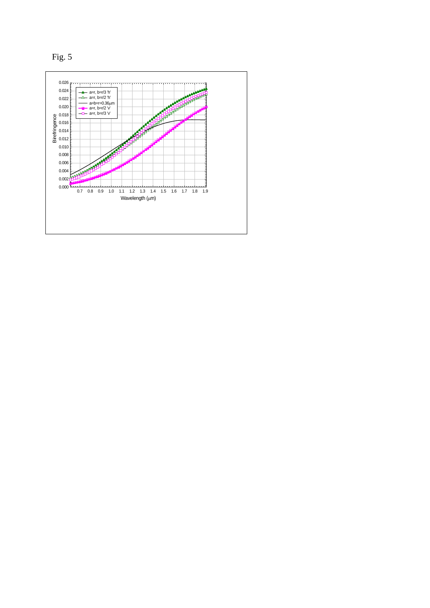

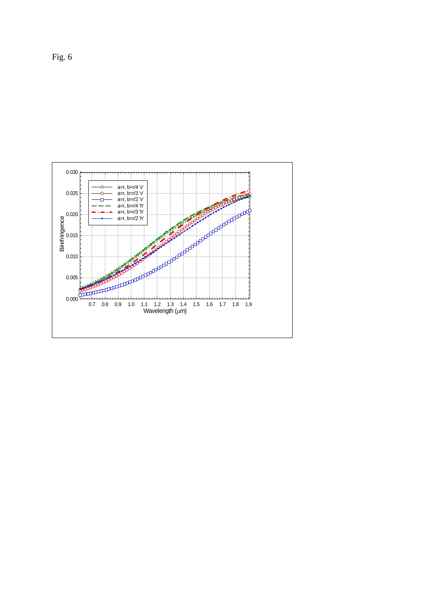

Fig. 6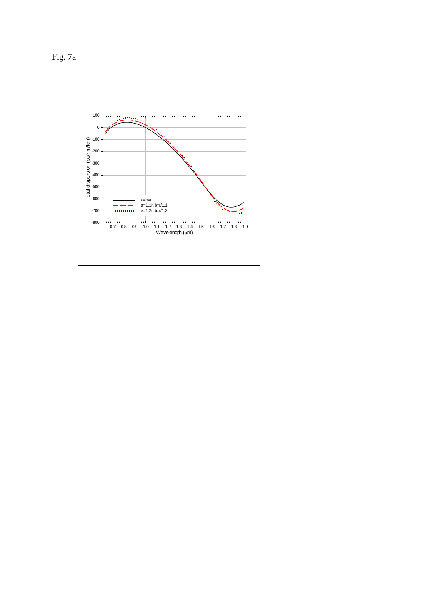Fig. 7a

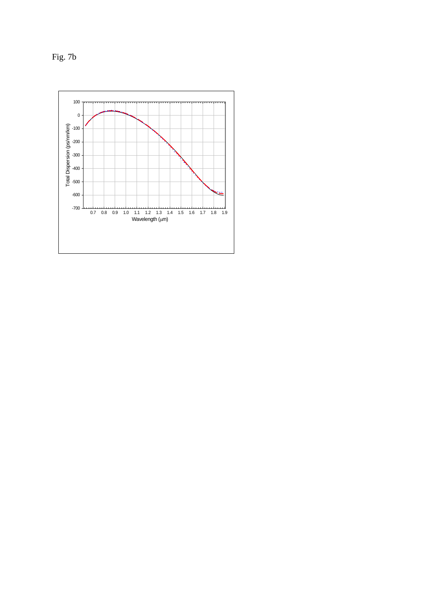Fig. 7b

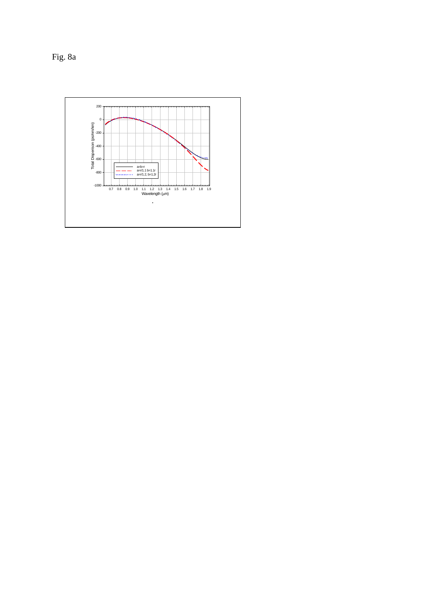Fig. 8a

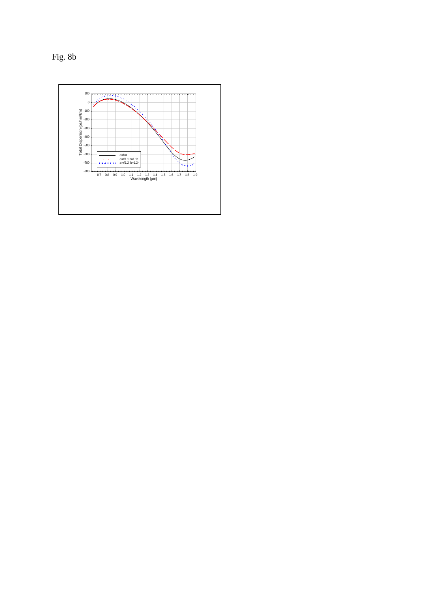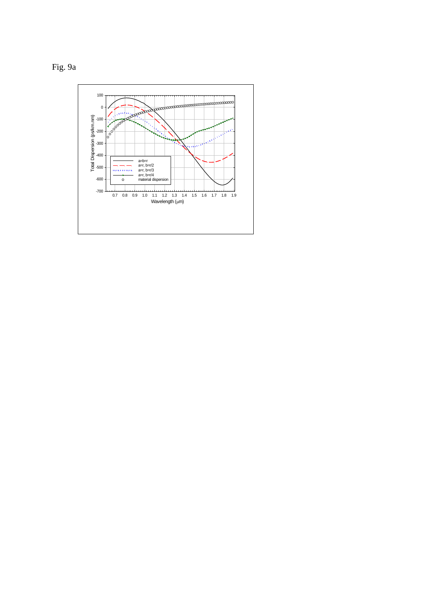

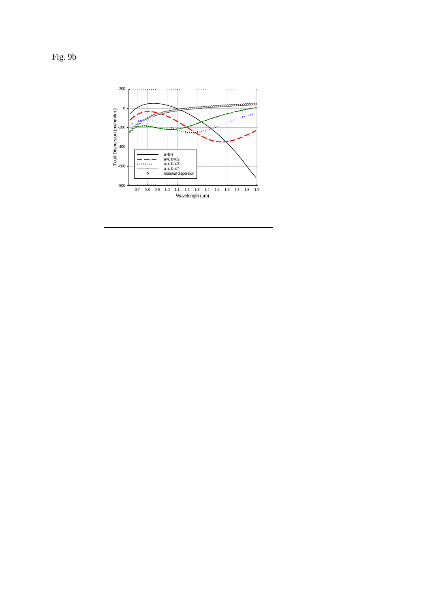

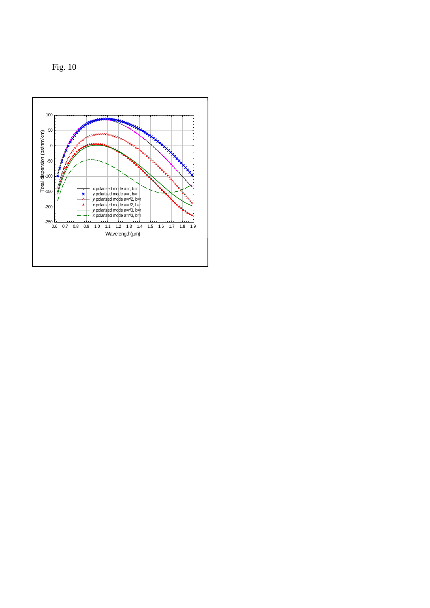Fig. 10